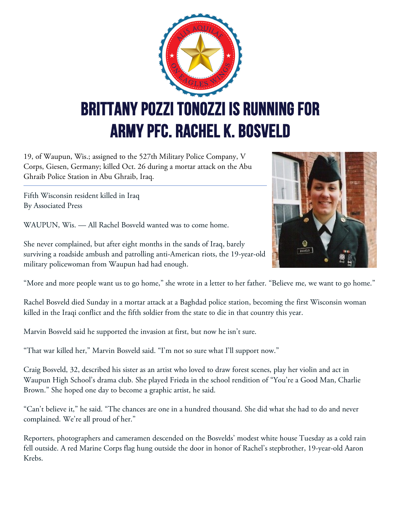

19, of Waupun, Wis.; assigned to the 527th Military Police Company, V Corps, Giesen, Germany; killed Oct. 26 during a mortar attack on the Abu Ghraib Police Station in Abu Ghraib, Iraq.

Fifth Wisconsin resident killed in Iraq By Associated Press

WAUPUN, Wis. — All Rachel Bosveld wanted was to come home.

**Pasveto** 

She never complained, but after eight months in the sands of Iraq, barely surviving a roadside ambush and patrolling anti-American riots, the 19-year-old military policewoman from Waupun had had enough.

"More and more people want us to go home," she wrote in a letter to her father. "Believe me, we want to go home."

Rachel Bosveld died Sunday in a mortar attack at a Baghdad police station, becoming the first Wisconsin woman killed in the Iraqi conflict and the fifth soldier from the state to die in that country this year.

Marvin Bosveld said he supported the invasion at first, but now he isn't sure.

"That war killed her," Marvin Bosveld said. "I'm not so sure what I'll support now."

Craig Bosveld, 32, described his sister as an artist who loved to draw forest scenes, play her violin and act in Waupun High School's drama club. She played Frieda in the school rendition of "You're a Good Man, Charlie Brown." She hoped one day to become a graphic artist, he said.

"Can't believe it," he said. "The chances are one in a hundred thousand. She did what she had to do and never complained. We're all proud of her."

Reporters, photographers and cameramen descended on the Bosvelds' modest white house Tuesday as a cold rain fell outside. A red Marine Corps flag hung outside the door in honor of Rachel's stepbrother, 19-year-old Aaron Krebs.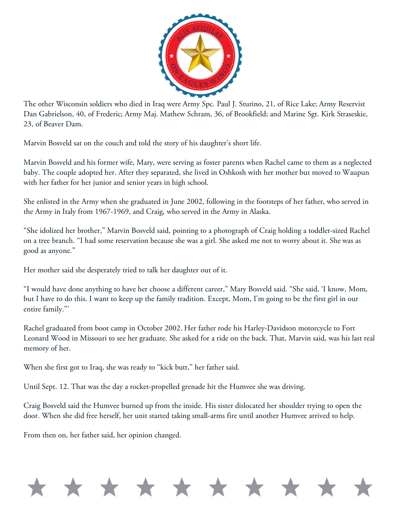

The other Wisconsin soldiers who died in Iraq were Army Spc. Paul J. Sturino, 21, of Rice Lake; Army Reservist Dan Gabrielson, 40, of Frederic; Army Maj. Mathew Schram, 36, of Brookfield; and Marine Sgt. Kirk Straseskie, 23, of Beaver Dam.

Marvin Bosveld sat on the couch and told the story of his daughter's short life.

Marvin Bosveld and his former wife, Mary, were serving as foster parents when Rachel came to them as a neglected baby. The couple adopted her. After they separated, she lived in Oshkosh with her mother but moved to Waupun with her father for her junior and senior years in high school.

She enlisted in the Army when she graduated in June 2002, following in the footsteps of her father, who served in the Army in Italy from 1967-1969, and Craig, who served in the Army in Alaska.

"She idolized her brother," Marvin Bosveld said, pointing to a photograph of Craig holding a toddler-sized Rachel on a tree branch. "I had some reservation because she was a girl. She asked me not to worry about it. She was as good as anyone."

Her mother said she desperately tried to talk her daughter out of it.

"I would have done anything to have her choose a different career," Mary Bosveld said. "She said, 'I know, Mom, but I have to do this. I want to keep up the family tradition. Except, Mom, I'm going to be the first girl in our entire family."'

Rachel graduated from boot camp in October 2002. Her father rode his Harley-Davidson motorcycle to Fort Leonard Wood in Missouri to see her graduate. She asked for a ride on the back. That, Marvin said, was his last real memory of her.

When she first got to Iraq, she was ready to "kick butt," her father said.

Until Sept. 12. That was the day a rocket-propelled grenade hit the Humvee she was driving.

Craig Bosveld said the Humvee burned up from the inside. His sister dislocated her shoulder trying to open the door. When she did free herself, her unit started taking small-arms fire until another Humvee arrived to help.

From then on, her father said, her opinion changed.